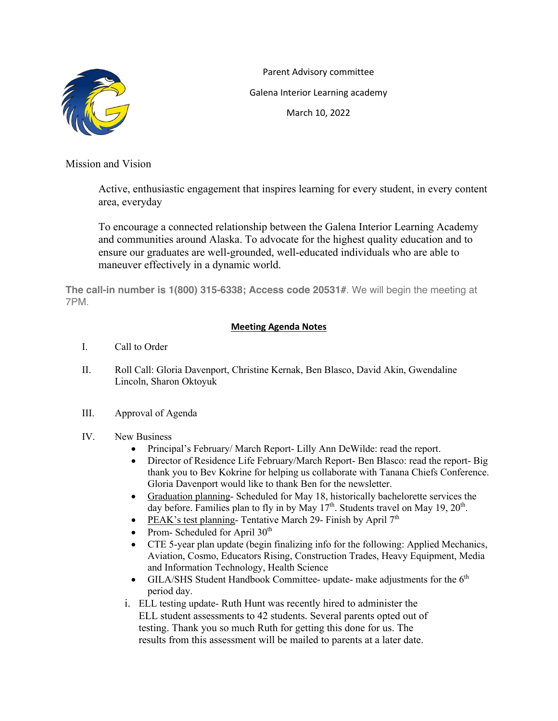

Parent Advisory committee Galena Interior Learning academy March 10, 2022

Mission and Vision

Active, enthusiastic engagement that inspires learning for every student, in every content area, everyday

To encourage a connected relationship between the Galena Interior Learning Academy and communities around Alaska. To advocate for the highest quality education and to ensure our graduates are well-grounded, well-educated individuals who are able to maneuver effectively in a dynamic world.

**The call-in number is 1(800) 315-6338; Access code 20531#**. We will begin the meeting at 7PM.

## **Meeting Agenda Notes**

- I. Call to Order
- II. Roll Call: Gloria Davenport, Christine Kernak, Ben Blasco, David Akin, Gwendaline Lincoln, Sharon Oktoyuk
- III. Approval of Agenda
- IV. New Business
	- Principal's February/ March Report- Lilly Ann DeWilde: read the report.
	- Director of Residence Life February/March Report- Ben Blasco: read the report- Big thank you to Bev Kokrine for helping us collaborate with Tanana Chiefs Conference. Gloria Davenport would like to thank Ben for the newsletter.
	- Graduation planning- Scheduled for May 18, historically bachelorette services the day before. Families plan to fly in by May  $17<sup>th</sup>$ . Students travel on May 19,  $20<sup>th</sup>$ .
	- PEAK's test planning- Tentative March 29- Finish by April  $7<sup>th</sup>$
	- Prom- Scheduled for April 30<sup>th</sup>
	- CTE 5-year plan update (begin finalizing info for the following: Applied Mechanics, Aviation, Cosmo, Educators Rising, Construction Trades, Heavy Equipment, Media and Information Technology, Health Science
	- GILA/SHS Student Handbook Committee- update- make adjustments for the  $6<sup>th</sup>$ period day.
	- i. ELL testing update- Ruth Hunt was recently hired to administer the ELL student assessments to 42 students. Several parents opted out of testing. Thank you so much Ruth for getting this done for us. The results from this assessment will be mailed to parents at a later date.